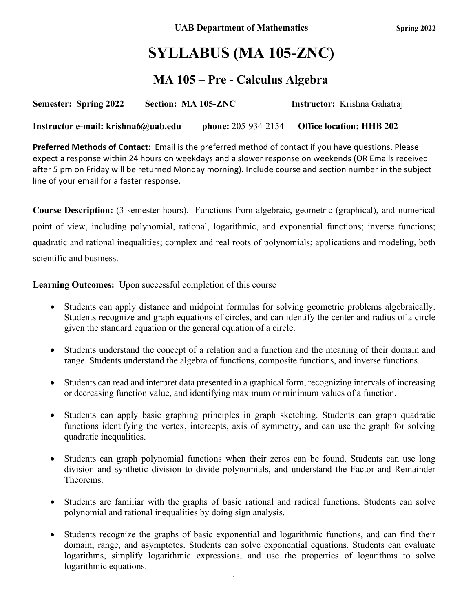# **SYLLABUS (MA 105-ZNC)**

### **MA 105 – Pre - Calculus Algebra**

| <b>Semester: Spring 2022</b> | Section: MA 105-ZNC | <b>Instructor:</b> Krishna Gahatraj |
|------------------------------|---------------------|-------------------------------------|
|                              |                     |                                     |

**Instructor e-mail: krishna6@uab.edu phone:** 205-934-2154 **Office location: HHB 202**

**Preferred Methods of Contact:** Email is the preferred method of contact if you have questions. Please expect a response within 24 hours on weekdays and a slower response on weekends (OR Emails received after 5 pm on Friday will be returned Monday morning). Include course and section number in the subject line of your email for a faster response.

**Course Description:** (3 semester hours). Functions from algebraic, geometric (graphical), and numerical point of view, including polynomial, rational, logarithmic, and exponential functions; inverse functions; quadratic and rational inequalities; complex and real roots of polynomials; applications and modeling, both scientific and business.

**Learning Outcomes:** Upon successful completion of this course

- Students can apply distance and midpoint formulas for solving geometric problems algebraically. Students recognize and graph equations of circles, and can identify the center and radius of a circle given the standard equation or the general equation of a circle.
- Students understand the concept of a relation and a function and the meaning of their domain and range. Students understand the algebra of functions, composite functions, and inverse functions.
- Students can read and interpret data presented in a graphical form, recognizing intervals of increasing or decreasing function value, and identifying maximum or minimum values of a function.
- Students can apply basic graphing principles in graph sketching. Students can graph quadratic functions identifying the vertex, intercepts, axis of symmetry, and can use the graph for solving quadratic inequalities.
- Students can graph polynomial functions when their zeros can be found. Students can use long division and synthetic division to divide polynomials, and understand the Factor and Remainder Theorems.
- Students are familiar with the graphs of basic rational and radical functions. Students can solve polynomial and rational inequalities by doing sign analysis.
- Students recognize the graphs of basic exponential and logarithmic functions, and can find their domain, range, and asymptotes. Students can solve exponential equations. Students can evaluate logarithms, simplify logarithmic expressions, and use the properties of logarithms to solve logarithmic equations.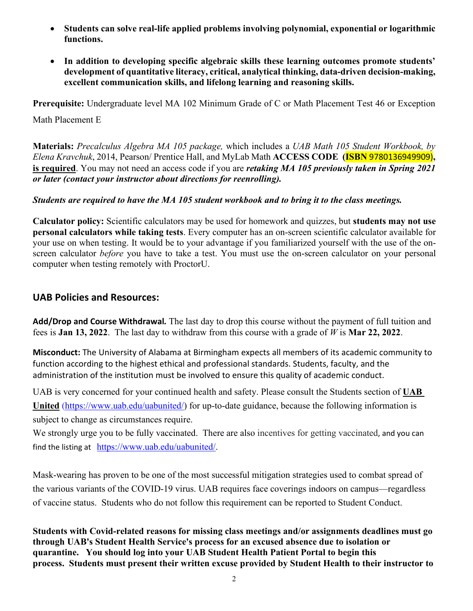- **Students can solve real-life applied problems involving polynomial, exponential or logarithmic functions.**
- **In addition to developing specific algebraic skills these learning outcomes promote students' development of quantitative literacy, critical, analytical thinking, data-driven decision-making, excellent communication skills, and lifelong learning and reasoning skills.**

**Prerequisite:** Undergraduate level MA 102 Minimum Grade of C or Math Placement Test 46 or Exception

Math Placement E

**Materials:** *Precalculus Algebra MA 105 package,* which includes a *UAB Math 105 Student Workbook, by Elena Kravchuk*, 2014, Pearson/ Prentice Hall, and MyLab Math **ACCESS CODE (ISBN** 9780136949909)**, is required**. You may not need an access code if you are *retaking MA 105 previously taken in Spring 2021 or later (contact your instructor about directions for reenrolling).*

### *Students are required to have the MA 105 student workbook and to bring it to the class meetings.*

**Calculator policy:** Scientific calculators may be used for homework and quizzes, but **students may not use personal calculators while taking tests**. Every computer has an on-screen scientific calculator available for your use on when testing. It would be to your advantage if you familiarized yourself with the use of the onscreen calculator *before* you have to take a test. You must use the on-screen calculator on your personal computer when testing remotely with ProctorU.

### **UAB Policies and Resources:**

**Add/Drop and Course Withdrawal***.* The last day to drop this course without the payment of full tuition and fees is **Jan 13, 2022**. The last day to withdraw from this course with a grade of *W* is **Mar 22, 2022**.

**Misconduct:** The University of Alabama at Birmingham expects all members of its academic community to function according to the highest ethical and professional standards. Students, faculty, and the administration of the institution must be involved to ensure this quality of academic conduct.

UAB is very concerned for your continued health and safety. Please consult the Students section of **UAB**  United [\(https://www.uab.edu/uabunited/\)](https://www.uab.edu/uabunited/) for up-to-date guidance, because the following information is subject to change as circumstances require.

We strongly urge you to be fully vaccinated. There are also [incentives for getting vaccinated](https://www.uab.edu/students/health/), and you can find the listing at [https://www.uab.edu/uabunited/.](https://www.uab.edu/uabunited/)

Mask-wearing has proven to be one of the most successful mitigation strategies used to combat spread of the various variants of the COVID-19 virus. UAB requires face coverings indoors on campus—regardless of vaccine status. Students who do not follow this requirement can be reported to Student Conduct.

**Students with Covid-related reasons for missing class meetings and/or assignments deadlines must go through UAB's Student Health Service's process for an excused absence due to isolation or quarantine. You should log into your UAB Student Health Patient Portal to begin this process. Students must present their written excuse provided by Student Health to their instructor to**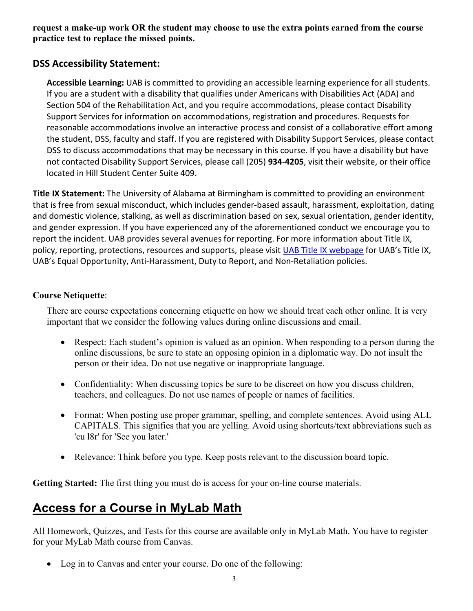**request a make-up work OR the student may choose to use the extra points earned from the course practice test to replace the missed points.**

### **DSS Accessibility Statement:**

**Accessible Learning:** UAB is committed to providing an accessible learning experience for all students. If you are a student with a disability that qualifies under Americans with Disabilities Act (ADA) and Section 504 of the Rehabilitation Act, and you require accommodations, please contact Disability Support Services for information on accommodations, registration and procedures. Requests for reasonable accommodations involve an interactive process and consist of a collaborative effort among the student, DSS, faculty and staff. If you are registered with Disability Support Services, please contact DSS to discuss accommodations that may be necessary in this course. If you have a disability but have not contacted Disability Support Services, please call (205) **934-4205**, visit their website, or their office located in Hill Student Center Suite 409.

**Title IX Statement:** The University of Alabama at Birmingham is committed to providing an environment that is free from sexual misconduct, which includes gender-based assault, harassment, exploitation, dating and domestic violence, stalking, as well as discrimination based on sex, sexual orientation, gender identity, and gender expression. If you have experienced any of the aforementioned conduct we encourage you to report the incident. UAB provides several avenues for reporting. For more information about Title IX, policy, reporting, protections, resources and supports, please visit [UAB Title IX webpage](http://www.uab.edu/titleix) for UAB's Title IX, UAB's Equal Opportunity, Anti-Harassment, Duty to Report, and Non-Retaliation policies.

### **Course Netiquette**:

There are course expectations concerning etiquette on how we should treat each other online. It is very important that we consider the following values during online discussions and email.

- Respect: Each student's opinion is valued as an opinion. When responding to a person during the online discussions, be sure to state an opposing opinion in a diplomatic way. Do not insult the person or their idea. Do not use negative or inappropriate language.
- Confidentiality: When discussing topics be sure to be discreet on how you discuss children, teachers, and colleagues. Do not use names of people or names of facilities.
- Format: When posting use proper grammar, spelling, and complete sentences. Avoid using ALL CAPITALS. This signifies that you are yelling. Avoid using shortcuts/text abbreviations such as 'cu l8r' for 'See you later.'
- Relevance: Think before you type. Keep posts relevant to the discussion board topic.

**Getting Started:** The first thing you must do is access for your on-line course materials.

## **Access for a Course in MyLab Math**

All Homework, Quizzes, and Tests for this course are available only in MyLab Math. You have to register for your MyLab Math course from Canvas.

• Log in to Canvas and enter your course. Do one of the following: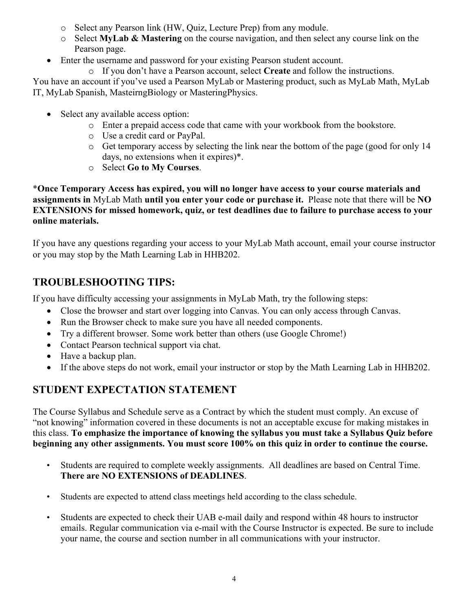- o Select any Pearson link (HW, Quiz, Lecture Prep) from any module.
- o Select **MyLab & Mastering** on the course navigation, and then select any course link on the Pearson page.
- Enter the username and password for your existing Pearson student account.
	- o If you don't have a Pearson account, select **Create** and follow the instructions.

You have an account if you've used a Pearson MyLab or Mastering product, such as MyLab Math, MyLab IT, MyLab Spanish, MasteirngBiology or MasteringPhysics.

- Select any available access option:
	- o Enter a prepaid access code that came with your workbook from the bookstore.
	- o Use a credit card or PayPal.
	- o Get temporary access by selecting the link near the bottom of the page (good for only 14 days, no extensions when it expires)\*.
	- o Select **Go to My Courses**.

\***Once Temporary Access has expired, you will no longer have access to your course materials and assignments in** MyLab Math **until you enter your code or purchase it.** Please note that there will be **NO EXTENSIONS for missed homework, quiz, or test deadlines due to failure to purchase access to your online materials.**

If you have any questions regarding your access to your MyLab Math account, email your course instructor or you may stop by the Math Learning Lab in HHB202.

### **TROUBLESHOOTING TIPS:**

If you have difficulty accessing your assignments in MyLab Math, try the following steps:

- Close the browser and start over logging into Canvas. You can only access through Canvas.
- Run the Browser check to make sure you have all needed components.
- Try a different browser. Some work better than others (use Google Chrome!)
- Contact Pearson technical support via chat.
- Have a backup plan.
- If the above steps do not work, email your instructor or stop by the Math Learning Lab in HHB202.

### **STUDENT EXPECTATION STATEMENT**

The Course Syllabus and Schedule serve as a Contract by which the student must comply. An excuse of "not knowing" information covered in these documents is not an acceptable excuse for making mistakes in this class. **To emphasize the importance of knowing the syllabus you must take a Syllabus Quiz before beginning any other assignments. You must score 100% on this quiz in order to continue the course.**

- Students are required to complete weekly assignments. All deadlines are based on Central Time. **There are NO EXTENSIONS of DEADLINES**.
- Students are expected to attend class meetings held according to the class schedule.
- Students are expected to check their UAB e-mail daily and respond within 48 hours to instructor emails. Regular communication via e-mail with the Course Instructor is expected. Be sure to include your name, the course and section number in all communications with your instructor.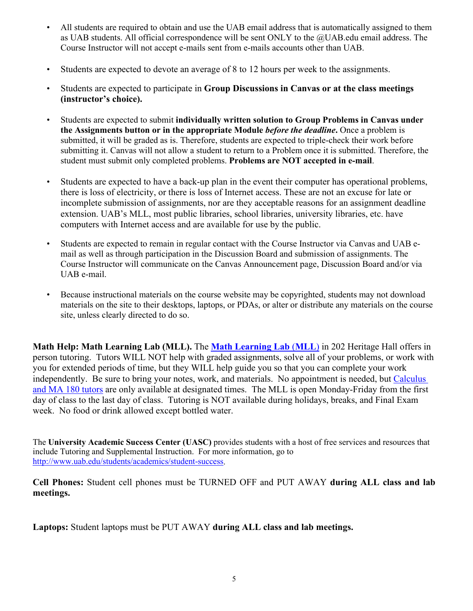- All students are required to obtain and use the UAB email address that is automatically assigned to them as UAB students. All official correspondence will be sent ONLY to the @UAB.edu email address. The Course Instructor will not accept e-mails sent from e-mails accounts other than UAB.
- Students are expected to devote an average of 8 to 12 hours per week to the assignments.
- Students are expected to participate in **Group Discussions in Canvas or at the class meetings (instructor's choice).**
- Students are expected to submit **individually written solution to Group Problems in Canvas under the Assignments button or in the appropriate Module** *before the deadline***.** Once a problem is submitted, it will be graded as is. Therefore, students are expected to triple-check their work before submitting it. Canvas will not allow a student to return to a Problem once it is submitted. Therefore, the student must submit only completed problems. **Problems are NOT accepted in e-mail**.
- Students are expected to have a back-up plan in the event their computer has operational problems, there is loss of electricity, or there is loss of Internet access. These are not an excuse for late or incomplete submission of assignments, nor are they acceptable reasons for an assignment deadline extension. UAB's MLL, most public libraries, school libraries, university libraries, etc. have computers with Internet access and are available for use by the public.
- Students are expected to remain in regular contact with the Course Instructor via Canvas and UAB email as well as through participation in the Discussion Board and submission of assignments. The Course Instructor will communicate on the Canvas Announcement page, Discussion Board and/or via UAB e-mail.
- Because instructional materials on the course website may be copyrighted, students may not download materials on the site to their desktops, laptops, or PDAs, or alter or distribute any materials on the course site, unless clearly directed to do so.

**Math Help: Math Learning Lab (MLL).** The **[Math Learning Lab](https://www.uab.edu/cas/mathematics/student-resources/math-learning-lab)** (**MLL**) in 202 Heritage Hall offers in person tutoring. Tutors WILL NOT help with graded assignments, solve all of your problems, or work with you for extended periods of time, but they WILL help guide you so that you can complete your work independently. Be sure to bring your notes, work, and materials. No appointment is needed, but [Calculus](https://calendar.google.com/calendar/embed?src=qcjfl97lf5j15cg0oae8llirm0@group.calendar.google.com&ctz=America/Chicago&mode=WEEK&gsessionid=OK)  [and MA 180 tutors](https://calendar.google.com/calendar/embed?src=qcjfl97lf5j15cg0oae8llirm0@group.calendar.google.com&ctz=America/Chicago&mode=WEEK&gsessionid=OK) are only available at designated times. The MLL is open Monday-Friday from the first day of class to the last day of class. Tutoring is NOT available during holidays, breaks, and Final Exam week. No food or drink allowed except bottled water.

The **University Academic Success Center (UASC)** provides students with a host of free services and resources that include Tutoring and Supplemental Instruction. For more information, go to [http://www.uab.edu/students/academics/student-success.](http://www.uab.edu/students/academics/student-success)

**Cell Phones:** Student cell phones must be TURNED OFF and PUT AWAY **during ALL class and lab meetings.**

**Laptops:** Student laptops must be PUT AWAY **during ALL class and lab meetings.**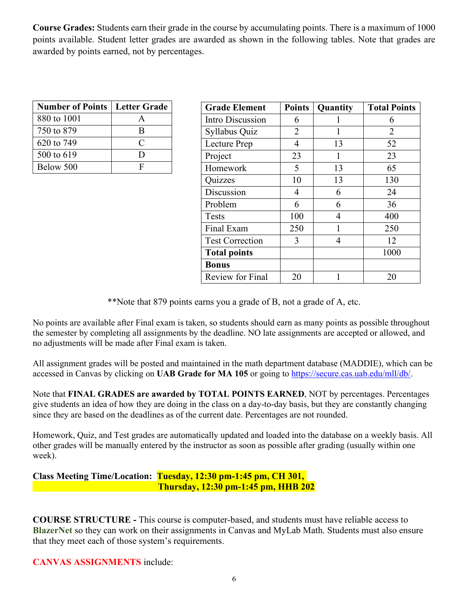**Course Grades:** Students earn their grade in the course by accumulating points. There is a maximum of 1000 points available. Student letter grades are awarded as shown in the following tables. Note that grades are awarded by points earned, not by percentages.

| <b>Number of Points   Letter Grade</b> |   |
|----------------------------------------|---|
| 880 to 1001                            |   |
| 750 to 879                             | R |
| 620 to 749                             | C |
| 500 to 619                             |   |
| Below 500                              |   |

| <b>Grade Element</b>    | <b>Points</b> | Quantity | <b>Total Points</b> |
|-------------------------|---------------|----------|---------------------|
| Intro Discussion        | 6             |          | 6                   |
| Syllabus Quiz           | 2             |          | 2                   |
| Lecture Prep            | 4             | 13       | 52                  |
| Project                 | 23            | 1        | 23                  |
| Homework                | 5             | 13       | 65                  |
| Quizzes                 | 10            | 13       | 130                 |
| Discussion              | 4             | 6        | 24                  |
| Problem                 | 6             | 6        | 36                  |
| Tests                   | 100           | 4        | 400                 |
| Final Exam              | 250           | 1        | 250                 |
| <b>Test Correction</b>  | 3             | 4        | 12                  |
| <b>Total points</b>     |               |          | 1000                |
| <b>Bonus</b>            |               |          |                     |
| <b>Review for Final</b> | 20            |          | 20                  |

\*\*Note that 879 points earns you a grade of B, not a grade of A, etc.

No points are available after Final exam is taken, so students should earn as many points as possible throughout the semester by completing all assignments by the deadline. NO late assignments are accepted or allowed, and no adjustments will be made after Final exam is taken.

All assignment grades will be posted and maintained in the math department database (MADDIE), which can be accessed in Canvas by clicking on **UAB Grade for MA 105** or going to https://secure.cas.uab.edu/mll/db/.

Note that **FINAL GRADES are awarded by TOTAL POINTS EARNED**, NOT by percentages. Percentages give students an idea of how they are doing in the class on a day-to-day basis, but they are constantly changing since they are based on the deadlines as of the current date. Percentages are not rounded.

Homework, Quiz, and Test grades are automatically updated and loaded into the database on a weekly basis. All other grades will be manually entered by the instructor as soon as possible after grading (usually within one week).

#### **Class Meeting Time/Location: Tuesday, 12:30 pm-1:45 pm, CH 301, Thursday, 12:30 pm-1:45 pm, HHB 202**

**COURSE STRUCTURE -** This course is computer-based, and students must have reliable access to **BlazerNet** so they can work on their assignments in Canvas and MyLab Math. Students must also ensure that they meet each of those system's requirements.

**CANVAS ASSIGNMENTS** include: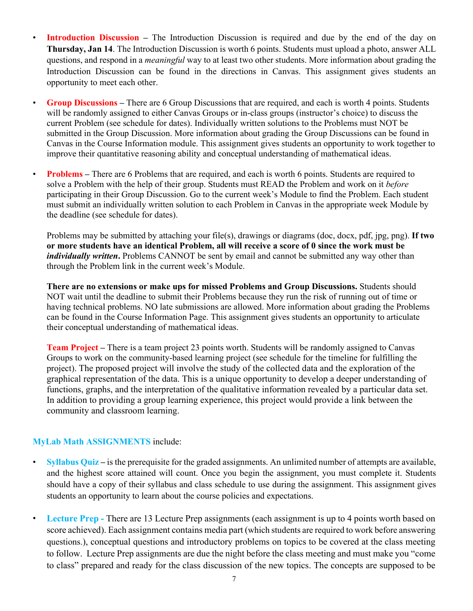- **Introduction Discussion** The Introduction Discussion is required and due by the end of the day on **Thursday, Jan 14**. The Introduction Discussion is worth 6 points. Students must upload a photo, answer ALL questions, and respond in a *meaningful* way to at least two other students. More information about grading the Introduction Discussion can be found in the directions in Canvas. This assignment gives students an opportunity to meet each other.
- **Group Discussions –** There are 6 Group Discussions that are required, and each is worth 4 points. Students will be randomly assigned to either Canvas Groups or in-class groups (instructor's choice) to discuss the current Problem (see schedule for dates). Individually written solutions to the Problems must NOT be submitted in the Group Discussion. More information about grading the Group Discussions can be found in Canvas in the Course Information module. This assignment gives students an opportunity to work together to improve their quantitative reasoning ability and conceptual understanding of mathematical ideas.
- **Problems** There are 6 Problems that are required, and each is worth 6 points. Students are required to solve a Problem with the help of their group. Students must READ the Problem and work on it *before*  participating in their Group Discussion. Go to the current week's Module to find the Problem. Each student must submit an individually written solution to each Problem in Canvas in the appropriate week Module by the deadline (see schedule for dates).

Problems may be submitted by attaching your file(s), drawings or diagrams (doc, docx, pdf, jpg, png). **If two or more students have an identical Problem, all will receive a score of 0 since the work must be**  *individually written*. Problems CANNOT be sent by email and cannot be submitted any way other than through the Problem link in the current week's Module.

**There are no extensions or make ups for missed Problems and Group Discussions.** Students should NOT wait until the deadline to submit their Problems because they run the risk of running out of time or having technical problems. NO late submissions are allowed. More information about grading the Problems can be found in the Course Information Page. This assignment gives students an opportunity to articulate their conceptual understanding of mathematical ideas.

**Team Project –** There is a team project 23 points worth. Students will be randomly assigned to Canvas Groups to work on the community-based learning project (see schedule for the timeline for fulfilling the project). The proposed project will involve the study of the collected data and the exploration of the graphical representation of the data. This is a unique opportunity to develop a deeper understanding of functions, graphs, and the interpretation of the qualitative information revealed by a particular data set. In addition to providing a group learning experience, this project would provide a link between the community and classroom learning.

#### **MyLab Math ASSIGNMENTS** include:

- **Syllabus Quiz –** is the prerequisite for the graded assignments. An unlimited number of attempts are available, and the highest score attained will count. Once you begin the assignment, you must complete it. Students should have a copy of their syllabus and class schedule to use during the assignment. This assignment gives students an opportunity to learn about the course policies and expectations.
- **Lecture Prep** There are 13 Lecture Prep assignments (each assignment is up to 4 points worth based on score achieved). Each assignment contains media part (which students are required to work before answering questions.), conceptual questions and introductory problems on topics to be covered at the class meeting to follow. Lecture Prep assignments are due the night before the class meeting and must make you "come to class" prepared and ready for the class discussion of the new topics. The concepts are supposed to be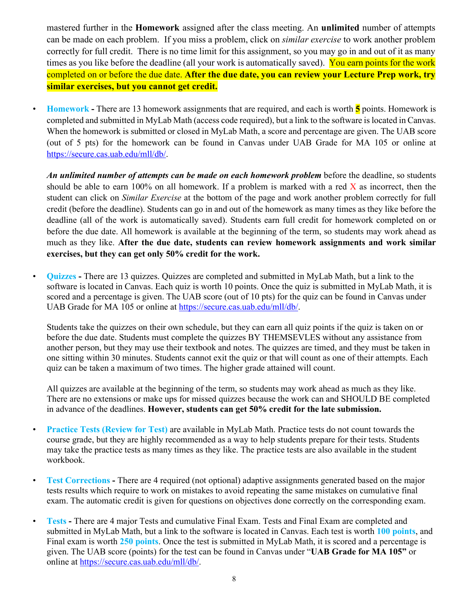mastered further in the **Homework** assigned after the class meeting. An **unlimited** number of attempts can be made on each problem. If you miss a problem, click on *similar exercise* to work another problem correctly for full credit. There is no time limit for this assignment, so you may go in and out of it as many times as you like before the deadline (all your work is automatically saved). You earn points for the work completed on or before the due date. **After the due date, you can review your Lecture Prep work, try similar exercises, but you cannot get credit.**

• **Homework** - There are 13 homework assignments that are required, and each is worth **5** points. Homework is completed and submitted in MyLab Math (access code required), but a link to the software is located in Canvas. When the homework is submitted or closed in MyLab Math, a score and percentage are given. The UAB score (out of 5 pts) for the homework can be found in Canvas under UAB Grade for MA 105 or online at [https://secure.cas.uab.edu/mll/db/.](https://secure.cas.uab.edu/mll/db/)

*An unlimited number of attempts can be made on each homework problem* before the deadline, so students should be able to earn 100% on all homework. If a problem is marked with a red  $\bar{X}$  as incorrect, then the student can click on *Similar Exercise* at the bottom of the page and work another problem correctly for full credit (before the deadline). Students can go in and out of the homework as many times as they like before the deadline (all of the work is automatically saved). Students earn full credit for homework completed on or before the due date. All homework is available at the beginning of the term, so students may work ahead as much as they like. **After the due date, students can review homework assignments and work similar exercises, but they can get only 50% credit for the work.** 

• **Quizzes -** There are 13 quizzes. Quizzes are completed and submitted in MyLab Math, but a link to the software is located in Canvas. Each quiz is worth 10 points. Once the quiz is submitted in MyLab Math, it is scored and a percentage is given. The UAB score (out of 10 pts) for the quiz can be found in Canvas under UAB Grade for MA 105 or online at [https://secure.cas.uab.edu/mll/db/.](https://secure.cas.uab.edu/mll/db/)

Students take the quizzes on their own schedule, but they can earn all quiz points if the quiz is taken on or before the due date. Students must complete the quizzes BY THEMSEVLES without any assistance from another person, but they may use their textbook and notes. The quizzes are timed, and they must be taken in one sitting within 30 minutes. Students cannot exit the quiz or that will count as one of their attempts. Each quiz can be taken a maximum of two times. The higher grade attained will count.

All quizzes are available at the beginning of the term, so students may work ahead as much as they like. There are no extensions or make ups for missed quizzes because the work can and SHOULD BE completed in advance of the deadlines. **However, students can get 50% credit for the late submission.**

- **Practice Tests (Review for Test)** are available in MyLab Math. Practice tests do not count towards the course grade, but they are highly recommended as a way to help students prepare for their tests. Students may take the practice tests as many times as they like. The practice tests are also available in the student workbook.
- **Test Corrections -** There are 4 required (not optional) adaptive assignments generated based on the major tests results which require to work on mistakes to avoid repeating the same mistakes on cumulative final exam. The automatic credit is given for questions on objectives done correctly on the corresponding exam.
- **Tests -** There are 4 major Tests and cumulative Final Exam. Tests and Final Exam are completed and submitted in MyLab Math, but a link to the software is located in Canvas. Each test is worth **100 points**, and Final exam is worth **250 points**. Once the test is submitted in MyLab Math, it is scored and a percentage is given. The UAB score (points) for the test can be found in Canvas under "**UAB Grade for MA 105"** or online at https://secure.cas.uab.edu/mll/db/.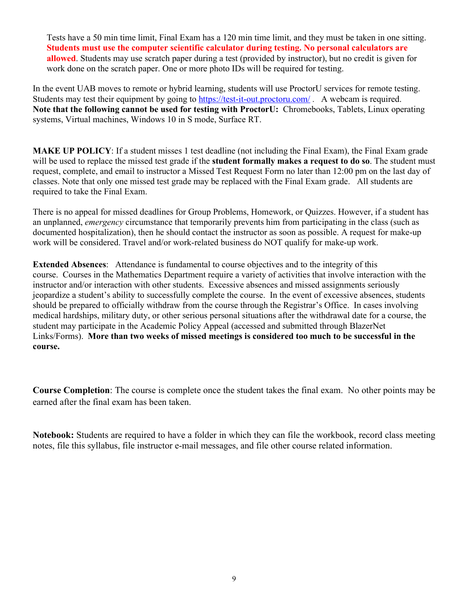Tests have a 50 min time limit, Final Exam has a 120 min time limit, and they must be taken in one sitting. **Students must use the computer scientific calculator during testing. No personal calculators are allowed**. Students may use scratch paper during a test (provided by instructor), but no credit is given for work done on the scratch paper. One or more photo IDs will be required for testing.

In the event UAB moves to remote or hybrid learning, students will use ProctorU services for remote testing. Students may test their equipment by going to <https://test-it-out.proctoru.com/>. A webcam is required. **Note that the following cannot be used for testing with ProctorU:** Chromebooks, Tablets, Linux operating systems, Virtual machines, Windows 10 in S mode, Surface RT.

**MAKE UP POLICY**: If a student misses 1 test deadline (not including the Final Exam), the Final Exam grade will be used to replace the missed test grade if the **student formally makes a request to do so**. The student must request, complete, and email to instructor a Missed Test Request Form no later than 12:00 pm on the last day of classes. Note that only one missed test grade may be replaced with the Final Exam grade. All students are required to take the Final Exam.

There is no appeal for missed deadlines for Group Problems, Homework, or Quizzes. However, if a student has an unplanned, *emergency* circumstance that temporarily prevents him from participating in the class (such as documented hospitalization), then he should contact the instructor as soon as possible. A request for make-up work will be considered. Travel and/or work-related business do NOT qualify for make-up work.

**Extended Absences**: Attendance is fundamental to course objectives and to the integrity of this course. Courses in the Mathematics Department require a variety of activities that involve interaction with the instructor and/or interaction with other students. Excessive absences and missed assignments seriously jeopardize a student's ability to successfully complete the course. In the event of excessive absences, students should be prepared to officially withdraw from the course through the Registrar's Office. In cases involving medical hardships, military duty, or other serious personal situations after the withdrawal date for a course, the student may participate in the Academic Policy Appeal (accessed and submitted through BlazerNet Links/Forms). **More than two weeks of missed meetings is considered too much to be successful in the course.**

**Course Completion**: The course is complete once the student takes the final exam. No other points may be earned after the final exam has been taken.

**Notebook:** Students are required to have a folder in which they can file the workbook, record class meeting notes, file this syllabus, file instructor e-mail messages, and file other course related information.